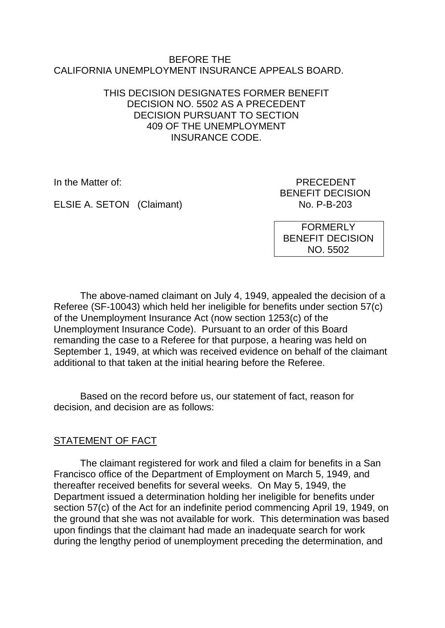### BEFORE THE CALIFORNIA UNEMPLOYMENT INSURANCE APPEALS BOARD.

## THIS DECISION DESIGNATES FORMER BENEFIT DECISION NO. 5502 AS A PRECEDENT DECISION PURSUANT TO SECTION 409 OF THE UNEMPLOYMENT INSURANCE CODE.

In the Matter of: PRECEDENT BENEFIT DECISION

ELSIE A. SETON (Claimant) No. P-B-203

FORMERLY BENEFIT DECISION NO. 5502

The above-named claimant on July 4, 1949, appealed the decision of a Referee (SF-10043) which held her ineligible for benefits under section 57(c) of the Unemployment Insurance Act (now section 1253(c) of the Unemployment Insurance Code). Pursuant to an order of this Board remanding the case to a Referee for that purpose, a hearing was held on September 1, 1949, at which was received evidence on behalf of the claimant additional to that taken at the initial hearing before the Referee.

Based on the record before us, our statement of fact, reason for decision, and decision are as follows:

# STATEMENT OF FACT

The claimant registered for work and filed a claim for benefits in a San Francisco office of the Department of Employment on March 5, 1949, and thereafter received benefits for several weeks. On May 5, 1949, the Department issued a determination holding her ineligible for benefits under section 57(c) of the Act for an indefinite period commencing April 19, 1949, on the ground that she was not available for work. This determination was based upon findings that the claimant had made an inadequate search for work during the lengthy period of unemployment preceding the determination, and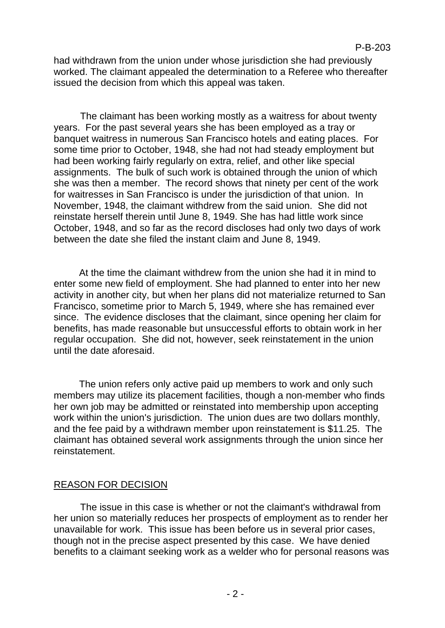had withdrawn from the union under whose jurisdiction she had previously worked. The claimant appealed the determination to a Referee who thereafter issued the decision from which this appeal was taken.

The claimant has been working mostly as a waitress for about twenty years. For the past several years she has been employed as a tray or banquet waitress in numerous San Francisco hotels and eating places. For some time prior to October, 1948, she had not had steady employment but had been working fairly regularly on extra, relief, and other like special assignments. The bulk of such work is obtained through the union of which she was then a member. The record shows that ninety per cent of the work for waitresses in San Francisco is under the jurisdiction of that union. In November, 1948, the claimant withdrew from the said union. She did not reinstate herself therein until June 8, 1949. She has had little work since October, 1948, and so far as the record discloses had only two days of work between the date she filed the instant claim and June 8, 1949.

At the time the claimant withdrew from the union she had it in mind to enter some new field of employment. She had planned to enter into her new activity in another city, but when her plans did not materialize returned to San Francisco, sometime prior to March 5, 1949, where she has remained ever since. The evidence discloses that the claimant, since opening her claim for benefits, has made reasonable but unsuccessful efforts to obtain work in her regular occupation. She did not, however, seek reinstatement in the union until the date aforesaid.

The union refers only active paid up members to work and only such members may utilize its placement facilities, though a non-member who finds her own job may be admitted or reinstated into membership upon accepting work within the union's jurisdiction. The union dues are two dollars monthly, and the fee paid by a withdrawn member upon reinstatement is \$11.25. The claimant has obtained several work assignments through the union since her reinstatement.

### REASON FOR DECISION

The issue in this case is whether or not the claimant's withdrawal from her union so materially reduces her prospects of employment as to render her unavailable for work. This issue has been before us in several prior cases, though not in the precise aspect presented by this case. We have denied benefits to a claimant seeking work as a welder who for personal reasons was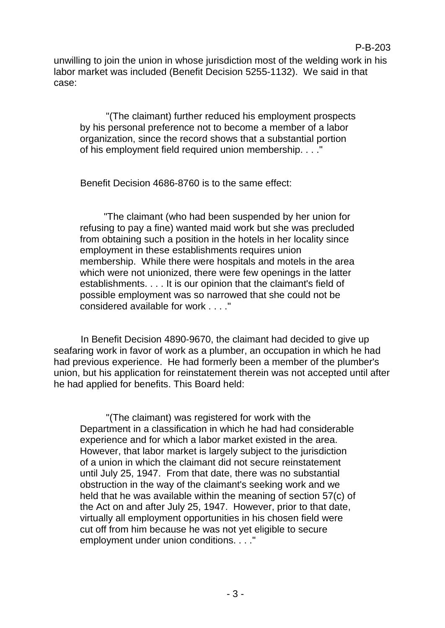unwilling to join the union in whose jurisdiction most of the welding work in his labor market was included (Benefit Decision 5255-1132). We said in that case:

"(The claimant) further reduced his employment prospects by his personal preference not to become a member of a labor organization, since the record shows that a substantial portion of his employment field required union membership. . . ."

Benefit Decision 4686-8760 is to the same effect:

"The claimant (who had been suspended by her union for refusing to pay a fine) wanted maid work but she was precluded from obtaining such a position in the hotels in her locality since employment in these establishments requires union membership. While there were hospitals and motels in the area which were not unionized, there were few openings in the latter establishments. . . . It is our opinion that the claimant's field of possible employment was so narrowed that she could not be considered available for work . . . ."

In Benefit Decision 4890-9670, the claimant had decided to give up seafaring work in favor of work as a plumber, an occupation in which he had had previous experience. He had formerly been a member of the plumber's union, but his application for reinstatement therein was not accepted until after he had applied for benefits. This Board held:

"(The claimant) was registered for work with the Department in a classification in which he had had considerable experience and for which a labor market existed in the area. However, that labor market is largely subject to the jurisdiction of a union in which the claimant did not secure reinstatement until July 25, 1947. From that date, there was no substantial obstruction in the way of the claimant's seeking work and we held that he was available within the meaning of section 57(c) of the Act on and after July 25, 1947. However, prior to that date, virtually all employment opportunities in his chosen field were cut off from him because he was not yet eligible to secure employment under union conditions. . . ."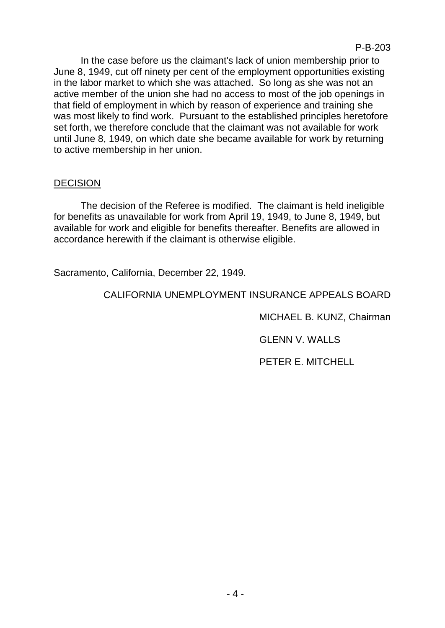In the case before us the claimant's lack of union membership prior to June 8, 1949, cut off ninety per cent of the employment opportunities existing in the labor market to which she was attached. So long as she was not an active member of the union she had no access to most of the job openings in that field of employment in which by reason of experience and training she was most likely to find work. Pursuant to the established principles heretofore set forth, we therefore conclude that the claimant was not available for work until June 8, 1949, on which date she became available for work by returning to active membership in her union.

## DECISION

The decision of the Referee is modified. The claimant is held ineligible for benefits as unavailable for work from April 19, 1949, to June 8, 1949, but available for work and eligible for benefits thereafter. Benefits are allowed in accordance herewith if the claimant is otherwise eligible.

Sacramento, California, December 22, 1949.

CALIFORNIA UNEMPLOYMENT INSURANCE APPEALS BOARD

MICHAEL B. KUNZ, Chairman

GLENN V. WALLS

PETER E. MITCHELL